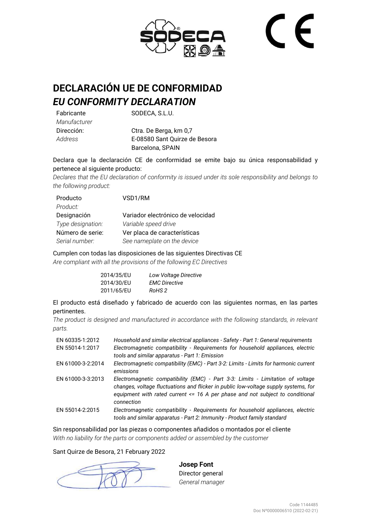

# **DECLARACIÓN UE DE CONFORMIDAD** *EU CONFORMITY DECLARATION*

Fabricante *Manufacturer* Dirección: *Address*

SODECA, S.L.U.

Ctra. De Berga, km 0,7 E-08580 Sant Quirze de Besora Barcelona, SPAIN

Declara que la declaración CE de conformidad se emite bajo su única responsabilidad y pertenece al siguiente producto:

*Declares that the EU declaration of conformity is issued under its sole responsibility and belongs to the following product:*

| Producto          | VSD1/RM                           |
|-------------------|-----------------------------------|
| Product:          |                                   |
| Designación       | Variador electrónico de velocidad |
| Type designation: | Variable speed drive              |
| Número de serie:  | Ver placa de características      |
| Serial number:    | See nameplate on the device       |

Cumplen con todas las disposiciones de las siguientes Directivas CE *Are compliant with all the provisions of the following EC Directives*

| 2014/35/EU | Low Voltage Directive |
|------------|-----------------------|
| 2014/30/EU | <b>EMC Directive</b>  |
| 2011/65/EU | RoHS 2                |

El producto está diseñado y fabricado de acuerdo con las siguientes normas, en las partes pertinentes.

*The product is designed and manufactured in accordance with the following standards, in relevant parts.*

| EN 60335-1:2012<br>EN 55014-1:2017 | Household and similar electrical appliances - Safety - Part 1: General requirements<br>Electromagnetic compatibility - Requirements for household appliances, electric<br>tools and similar apparatus - Part 1: Emission                                                 |
|------------------------------------|--------------------------------------------------------------------------------------------------------------------------------------------------------------------------------------------------------------------------------------------------------------------------|
| EN 61000-3-2:2014                  | Electromagnetic compatibility (EMC) - Part 3-2: Limits - Limits for harmonic current<br>emissions                                                                                                                                                                        |
| EN 61000-3-3:2013                  | Electromagnetic compatibility (EMC) - Part 3-3: Limits - Limitation of voltage<br>changes, voltage fluctuations and flicker in public low-voltage supply systems, for<br>equipment with rated current $\leq$ 16 A per phase and not subject to conditional<br>connection |
| EN 55014-2:2015                    | Electromagnetic compatibility - Requirements for household appliances, electric<br>tools and similar apparatus - Part 2: Immunity - Product family standard                                                                                                              |

Sin responsabilidad por las piezas o componentes añadidos o montados por el cliente *With no liability for the parts or components added or assembled by the customer*

#### Sant Quirze de Besora, 21 February 2022

**Josep Font** Director general *General manager*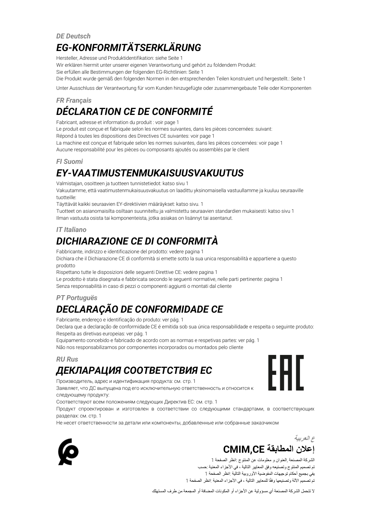### *DE Deutsch EG-KONFORMITÄTSERKLÄRUNG*

Hersteller, Adresse und Produktidentifikation: siehe Seite 1

Wir erklären hiermit unter unserer eigenen Verantwortung und gehört zu foldendem Produkt:

Sie erfüllen alle Bestimmungen der folgenden EG-Richtlinien: Seite 1

Die Produkt wurde gemäß den folgenden Normen in den entsprechenden Teilen konstruiert und hergestellt.: Seite 1

Unter Ausschluss der Verantwortung für vom Kunden hinzugefügte oder zusammengebaute Teile oder Komponenten

## *FR Français DÉCLARATION CE DE CONFORMITÉ*

Fabricant, adresse et information du produit : voir page 1

Le produit est conçue et fabriquée selon les normes suivantes, dans les pièces concernées: suivant:

Répond à toutes les dispositions des Directives CE suivantes: voir page 1

La machine est conçue et fabriquée selon les normes suivantes, dans les pièces concernées: voir page 1

Aucune responsabilité pour les pièces ou composants ajoutés ou assemblés par le client

#### *FI Suomi*

# *EY-VAATIMUSTENMUKAISUUSVAKUUTUS*

Valmistajan, osoitteen ja tuotteen tunnistetiedot: katso sivu 1

Vakuutamme, että vaatimustenmukaisuusvakuutus on laadittu yksinomaisella vastuullamme ja kuuluu seuraaville tuotteille:

Täyttävät kaikki seuraavien EY-direktiivien määräykset: katso sivu. 1

Tuotteet on asianomaisilta osiltaan suunniteltu ja valmistettu seuraavien standardien mukaisesti: katso sivu 1 Ilman vastuuta osista tai komponenteista, jotka asiakas on lisännyt tai asentanut.

#### *IT Italiano*

# *DICHIARAZIONE CE DI CONFORMITÀ*

Fabbricante, indirizzo e identificazione del prodotto: vedere pagina 1

Dichiara che il Dichiarazione CE di conformità si emette sotto la sua unica responsabilità e appartiene a questo prodotto

Rispettano tutte le disposizioni delle seguenti Direttive CE: vedere pagina 1

Le prodotto è stata disegnata e fabbricata secondo le seguenti normative, nelle parti pertinente: pagina 1

Senza responsabilità in caso di pezzi o componenti aggiunti o montati dal cliente

## *PT Portuguës DECLARAÇÃO DE CONFORMIDADE CE*

Fabricante, endereço e identificação do produto: ver pág. 1

Declara que a declaração de conformidade CE é emitida sob sua única responsabilidade e respeita o seguinte produto: Respeita as diretivas europeias: ver pág. 1

Equipamento concebido e fabricado de acordo com as normas e respetivas partes: ver pág. 1 Não nos responsabilizamos por componentes incorporados ou montados pelo cliente

#### *RU Rus*

# *ДЕКЛАРАЦИЯ СООТВЕТСТВИЯ EC*

Производитель, адрес и идентификация продукта: см. стр. 1

Заявляет, что ДС выпущена под его исключительную ответственность и относится к следующему продукту:

Соответствуют всем положениям следующих Директив ЕС: см. стр. 1

Продукт спроектирован и изготовлен в соответствии со следующими стандартами, в соответствующих разделах: см. стр. 1

Не несет ответственности за детали или компоненты, добавленные или собранные заказчиком



## **ع العربية إعالن المطابقة CE,CMIM**

الشركة المصنعة ,العنوان و معلومات عن المنتوج :انظر الصفحة 1 تم تصميم المنتوج وتصنيعه وفق المعايير التالية ، في األجزاء المعنية :حسب يفي بجميع أحكام توجيهات المفوضية األوروبية التالية :انظر الصفحة 1 تم تصميم الآلة وتصنيعها وفقًا للمعايير التالية ، في األجزاء المعنية :انظر الصفحة 1

ال تتحمل الشركة المصنعة أي مسؤولية عن األجزاء أو المكونات المضافة أو المجمعة من طرف المستهلك